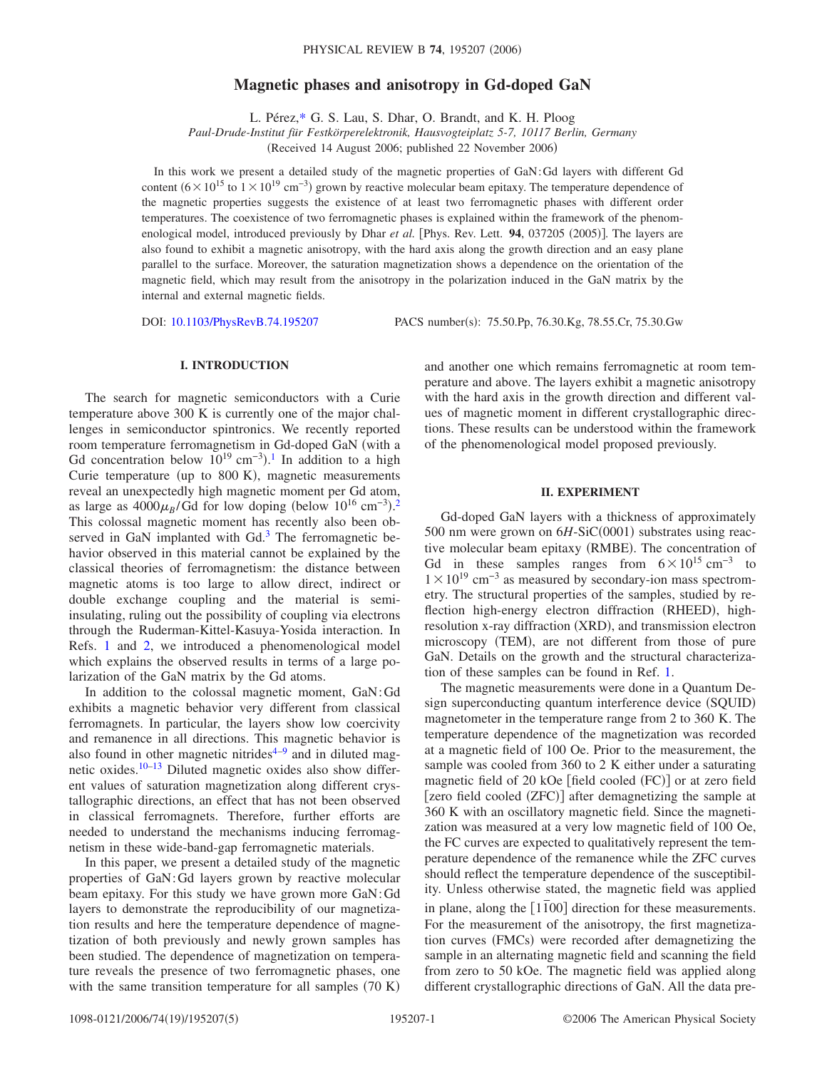# **Magnetic phases and anisotropy in Gd-doped GaN**

L. Pérez[,\\*](#page-4-0) G. S. Lau, S. Dhar, O. Brandt, and K. H. Ploog

*Paul-Drude-Institut für Festkörperelektronik, Hausvogteiplatz 5-7, 10117 Berlin, Germany*

(Received 14 August 2006; published 22 November 2006)

In this work we present a detailed study of the magnetic properties of GaN:Gd layers with different Gd content  $(6 \times 10^{15}$  to  $1 \times 10^{19}$  cm<sup>-3</sup>) grown by reactive molecular beam epitaxy. The temperature dependence of the magnetic properties suggests the existence of at least two ferromagnetic phases with different order temperatures. The coexistence of two ferromagnetic phases is explained within the framework of the phenomenological model, introduced previously by Dhar *et al.* [Phys. Rev. Lett. 94, 037205 (2005)]. The layers are also found to exhibit a magnetic anisotropy, with the hard axis along the growth direction and an easy plane parallel to the surface. Moreover, the saturation magnetization shows a dependence on the orientation of the magnetic field, which may result from the anisotropy in the polarization induced in the GaN matrix by the internal and external magnetic fields.

DOI: [10.1103/PhysRevB.74.195207](http://dx.doi.org/10.1103/PhysRevB.74.195207)

PACS number(s): 75.50.Pp, 76.30.Kg, 78.55.Cr, 75.30.Gw

# **I. INTRODUCTION**

The search for magnetic semiconductors with a Curie temperature above 300 K is currently one of the major challenges in semiconductor spintronics. We recently reported room temperature ferromagnetism in Gd-doped GaN (with a Gd concentration below  $10^{19}$  $10^{19}$  cm<sup>-3</sup>).<sup>1</sup> In addition to a high Curie temperature (up to  $800$  K), magnetic measurements reveal an unexpectedly high magnetic moment per Gd atom, as large as  $4000\mu_B/\text{Gd}$  for low doping (below  $10^{16} \text{ cm}^{-3}$ ).<sup>[2](#page-4-2)</sup> This colossal magnetic moment has recently also been observed in GaN implanted with  $Gd<sup>3</sup>$ . The ferromagnetic behavior observed in this material cannot be explained by the classical theories of ferromagnetism: the distance between magnetic atoms is too large to allow direct, indirect or double exchange coupling and the material is semiinsulating, ruling out the possibility of coupling via electrons through the Ruderman-Kittel-Kasuya-Yosida interaction. In Refs. [1](#page-4-1) and [2,](#page-4-2) we introduced a phenomenological model which explains the observed results in terms of a large polarization of the GaN matrix by the Gd atoms.

In addition to the colossal magnetic moment, GaN:Gd exhibits a magnetic behavior very different from classical ferromagnets. In particular, the layers show low coercivity and remanence in all directions. This magnetic behavior is also found in other magnetic nitrides $4-9$  and in diluted magnetic oxides. $10-13$  $10-13$  Diluted magnetic oxides also show different values of saturation magnetization along different crystallographic directions, an effect that has not been observed in classical ferromagnets. Therefore, further efforts are needed to understand the mechanisms inducing ferromagnetism in these wide-band-gap ferromagnetic materials.

In this paper, we present a detailed study of the magnetic properties of GaN:Gd layers grown by reactive molecular beam epitaxy. For this study we have grown more GaN:Gd layers to demonstrate the reproducibility of our magnetization results and here the temperature dependence of magnetization of both previously and newly grown samples has been studied. The dependence of magnetization on temperature reveals the presence of two ferromagnetic phases, one with the same transition temperature for all samples  $(70 K)$ 

and another one which remains ferromagnetic at room temperature and above. The layers exhibit a magnetic anisotropy with the hard axis in the growth direction and different values of magnetic moment in different crystallographic directions. These results can be understood within the framework of the phenomenological model proposed previously.

### **II. EXPERIMENT**

Gd-doped GaN layers with a thickness of approximately 500 nm were grown on  $6H$ -SiC(0001) substrates using reactive molecular beam epitaxy (RMBE). The concentration of Gd in these samples ranges from  $6\times10^{15}$  cm<sup>-3</sup> to  $1 \times 10^{19}$  cm<sup>-3</sup> as measured by secondary-ion mass spectrometry. The structural properties of the samples, studied by reflection high-energy electron diffraction (RHEED), highresolution x-ray diffraction (XRD), and transmission electron microscopy (TEM), are not different from those of pure GaN. Details on the growth and the structural characterization of these samples can be found in Ref. [1.](#page-4-1)

The magnetic measurements were done in a Quantum Design superconducting quantum interference device (SQUID) magnetometer in the temperature range from 2 to 360 K. The temperature dependence of the magnetization was recorded at a magnetic field of 100 Oe. Prior to the measurement, the sample was cooled from 360 to 2 K either under a saturating magnetic field of 20 kOe [field cooled (FC)] or at zero field [zero field cooled (ZFC)] after demagnetizing the sample at 360 K with an oscillatory magnetic field. Since the magnetization was measured at a very low magnetic field of 100 Oe, the FC curves are expected to qualitatively represent the temperature dependence of the remanence while the ZFC curves should reflect the temperature dependence of the susceptibility. Unless otherwise stated, the magnetic field was applied in plane, along the [1100] direction for these measurements. For the measurement of the anisotropy, the first magnetization curves (FMCs) were recorded after demagnetizing the sample in an alternating magnetic field and scanning the field from zero to 50 kOe. The magnetic field was applied along different crystallographic directions of GaN. All the data pre-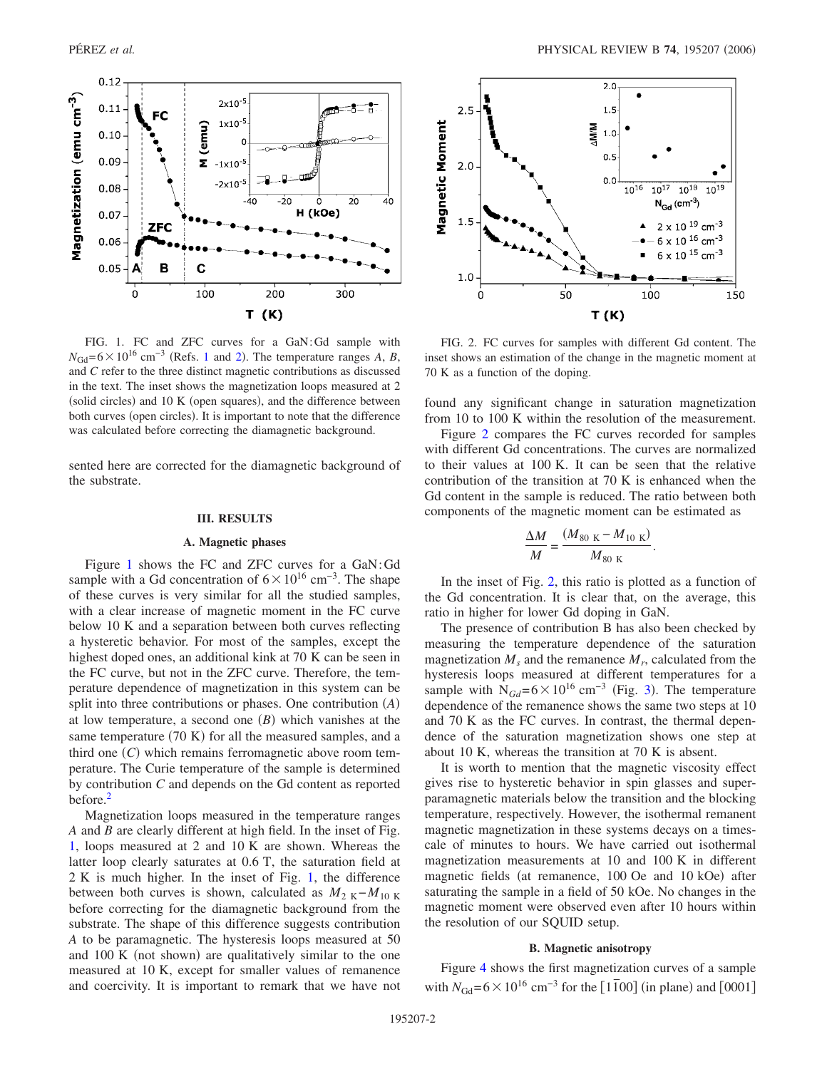<span id="page-1-0"></span>

FIG. 1. FC and ZFC curves for a GaN:Gd sample with  $N_{\text{Gd}} = 6 \times 10^{16} \text{ cm}^{-3}$  $N_{\text{Gd}} = 6 \times 10^{16} \text{ cm}^{-3}$  $N_{\text{Gd}} = 6 \times 10^{16} \text{ cm}^{-3}$  (Refs. 1 and [2](#page-4-2)). The temperature ranges *A*, *B*, and *C* refer to the three distinct magnetic contributions as discussed in the text. The inset shows the magnetization loops measured at 2 (solid circles) and 10 K (open squares), and the difference between both curves (open circles). It is important to note that the difference was calculated before correcting the diamagnetic background.

sented here are corrected for the diamagnetic background of the substrate.

#### **III. RESULTS**

#### **A. Magnetic phases**

Figure [1](#page-1-0) shows the FC and ZFC curves for a GaN:Gd sample with a Gd concentration of  $6 \times 10^{16}$  cm<sup>-3</sup>. The shape of these curves is very similar for all the studied samples, with a clear increase of magnetic moment in the FC curve below 10 K and a separation between both curves reflecting a hysteretic behavior. For most of the samples, except the highest doped ones, an additional kink at 70 K can be seen in the FC curve, but not in the ZFC curve. Therefore, the temperature dependence of magnetization in this system can be split into three contributions or phases. One contribution  $(A)$ at low temperature, a second one  $(B)$  which vanishes at the same temperature (70 K) for all the measured samples, and a third one  $(C)$  which remains ferromagnetic above room temperature. The Curie temperature of the sample is determined by contribution *C* and depends on the Gd content as reported before.<sup>2</sup>

Magnetization loops measured in the temperature ranges *A* and *B* are clearly different at high field. In the inset of Fig. [1,](#page-1-0) loops measured at 2 and 10 K are shown. Whereas the latter loop clearly saturates at 0.6 T, the saturation field at 2 K is much higher. In the inset of Fig. [1,](#page-1-0) the difference between both curves is shown, calculated as  $M_{2 K} - M_{10 K}$ before correcting for the diamagnetic background from the substrate. The shape of this difference suggests contribution *A* to be paramagnetic. The hysteresis loops measured at 50 and 100 K (not shown) are qualitatively similar to the one measured at 10 K, except for smaller values of remanence and coercivity. It is important to remark that we have not

<span id="page-1-1"></span>

FIG. 2. FC curves for samples with different Gd content. The inset shows an estimation of the change in the magnetic moment at 70 K as a function of the doping.

found any significant change in saturation magnetization from 10 to 100 K within the resolution of the measurement.

Figure [2](#page-1-1) compares the FC curves recorded for samples with different Gd concentrations. The curves are normalized to their values at 100 K. It can be seen that the relative contribution of the transition at 70 K is enhanced when the Gd content in the sample is reduced. The ratio between both components of the magnetic moment can be estimated as

$$
\frac{\Delta M}{M} = \frac{(M_{80 \text{ K}} - M_{10 \text{ K}})}{M_{80 \text{ K}}}.
$$

In the inset of Fig. [2,](#page-1-1) this ratio is plotted as a function of the Gd concentration. It is clear that, on the average, this ratio in higher for lower Gd doping in GaN.

The presence of contribution B has also been checked by measuring the temperature dependence of the saturation magnetization  $M_s$  and the remanence  $M_r$ , calculated from the hysteresis loops measured at different temperatures for a sample with  $N_{Gd} = 6 \times 10^{16}$  cm<sup>-[3](#page-2-0)</sup> (Fig. 3). The temperature dependence of the remanence shows the same two steps at 10 and 70 K as the FC curves. In contrast, the thermal dependence of the saturation magnetization shows one step at about 10 K, whereas the transition at 70 K is absent.

It is worth to mention that the magnetic viscosity effect gives rise to hysteretic behavior in spin glasses and superparamagnetic materials below the transition and the blocking temperature, respectively. However, the isothermal remanent magnetic magnetization in these systems decays on a timescale of minutes to hours. We have carried out isothermal magnetization measurements at 10 and 100 K in different magnetic fields (at remanence, 100 Oe and 10 kOe) after saturating the sample in a field of 50 kOe. No changes in the magnetic moment were observed even after 10 hours within the resolution of our SQUID setup.

# **B. Magnetic anisotropy**

Figure [4](#page-2-1) shows the first magnetization curves of a sample with  $N_{\text{Gd}}$ =6 × 10<sup>16</sup> cm<sup>-3</sup> for the [1<sup>1</sup> $\overline{100}$ ] (in plane) and [0001]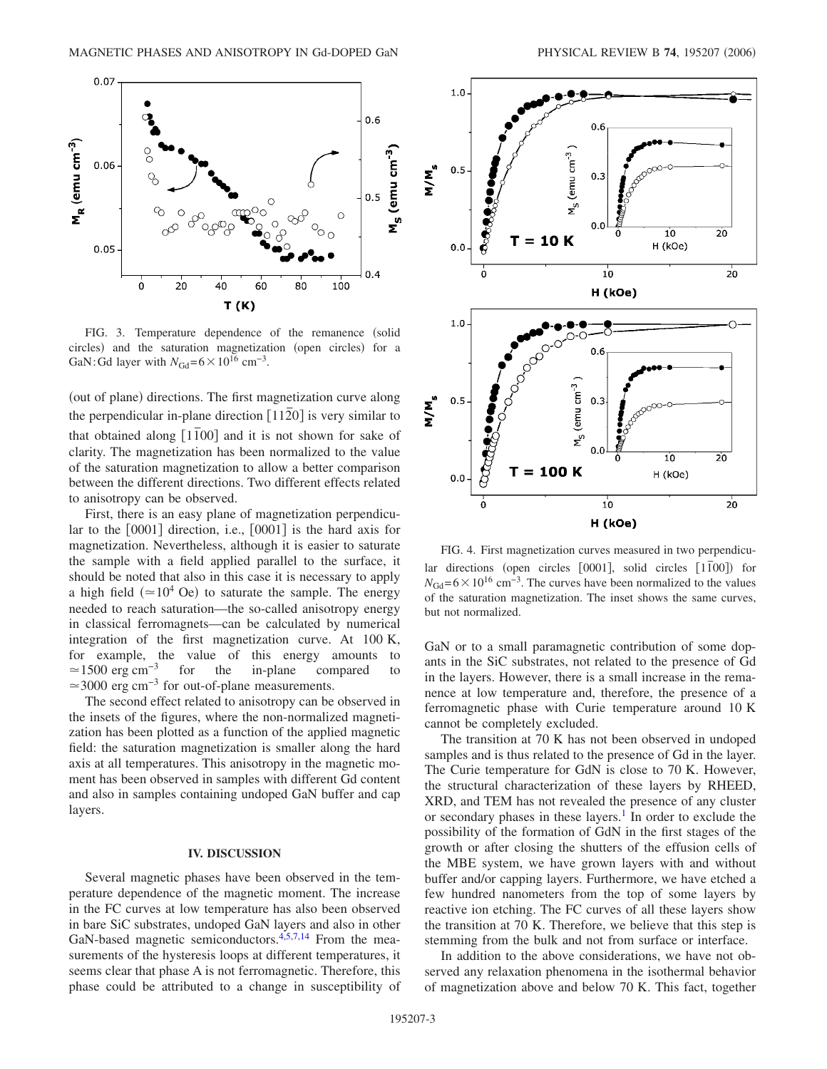<span id="page-2-0"></span>

FIG. 3. Temperature dependence of the remanence (solid circles) and the saturation magnetization (open circles) for a GaN:Gd layer with  $N_{\text{Gd}}=6\times10^{16} \text{ cm}^{-3}$ .

(out of plane) directions. The first magnetization curve along the perpendicular in-plane direction  $[11\overline{2}0]$  is very similar to that obtained along [1100] and it is not shown for sake of clarity. The magnetization has been normalized to the value of the saturation magnetization to allow a better comparison between the different directions. Two different effects related to anisotropy can be observed.

First, there is an easy plane of magnetization perpendicular to the  $[0001]$  direction, i.e.,  $[0001]$  is the hard axis for magnetization. Nevertheless, although it is easier to saturate the sample with a field applied parallel to the surface, it should be noted that also in this case it is necessary to apply a high field ( $\simeq$ 10<sup>4</sup> Oe) to saturate the sample. The energy needed to reach saturation—the so-called anisotropy energy in classical ferromagnets—can be calculated by numerical integration of the first magnetization curve. At 100 K, for example, the value of this energy amounts to  $\approx 1500$  erg cm<sup>-3</sup> for the in-plane compared to  $\approx$ 3000 erg cm<sup>-3</sup> for out-of-plane measurements.

The second effect related to anisotropy can be observed in the insets of the figures, where the non-normalized magnetization has been plotted as a function of the applied magnetic field: the saturation magnetization is smaller along the hard axis at all temperatures. This anisotropy in the magnetic moment has been observed in samples with different Gd content and also in samples containing undoped GaN buffer and cap layers.

### **IV. DISCUSSION**

Several magnetic phases have been observed in the temperature dependence of the magnetic moment. The increase in the FC curves at low temperature has also been observed in bare SiC substrates, undoped GaN layers and also in other GaN-based magnetic semiconductors. $4,5,7,14$  $4,5,7,14$  $4,5,7,14$  $4,5,7,14$  From the measurements of the hysteresis loops at different temperatures, it seems clear that phase A is not ferromagnetic. Therefore, this phase could be attributed to a change in susceptibility of

<span id="page-2-1"></span>

FIG. 4. First magnetization curves measured in two perpendicular directions (open circles [0001], solid circles [1<sup> $7$ </sup>00]) for  $N_{\text{Gd}}$ =6 × 10<sup>16</sup> cm<sup>-3</sup>. The curves have been normalized to the values of the saturation magnetization. The inset shows the same curves, but not normalized.

GaN or to a small paramagnetic contribution of some dopants in the SiC substrates, not related to the presence of Gd in the layers. However, there is a small increase in the remanence at low temperature and, therefore, the presence of a ferromagnetic phase with Curie temperature around 10 K cannot be completely excluded.

The transition at 70 K has not been observed in undoped samples and is thus related to the presence of Gd in the layer. The Curie temperature for GdN is close to 70 K. However, the structural characterization of these layers by RHEED, XRD, and TEM has not revealed the presence of any cluster or secondary phases in these layers.<sup>1</sup> In order to exclude the possibility of the formation of GdN in the first stages of the growth or after closing the shutters of the effusion cells of the MBE system, we have grown layers with and without buffer and/or capping layers. Furthermore, we have etched a few hundred nanometers from the top of some layers by reactive ion etching. The FC curves of all these layers show the transition at 70 K. Therefore, we believe that this step is stemming from the bulk and not from surface or interface.

In addition to the above considerations, we have not observed any relaxation phenomena in the isothermal behavior of magnetization above and below 70 K. This fact, together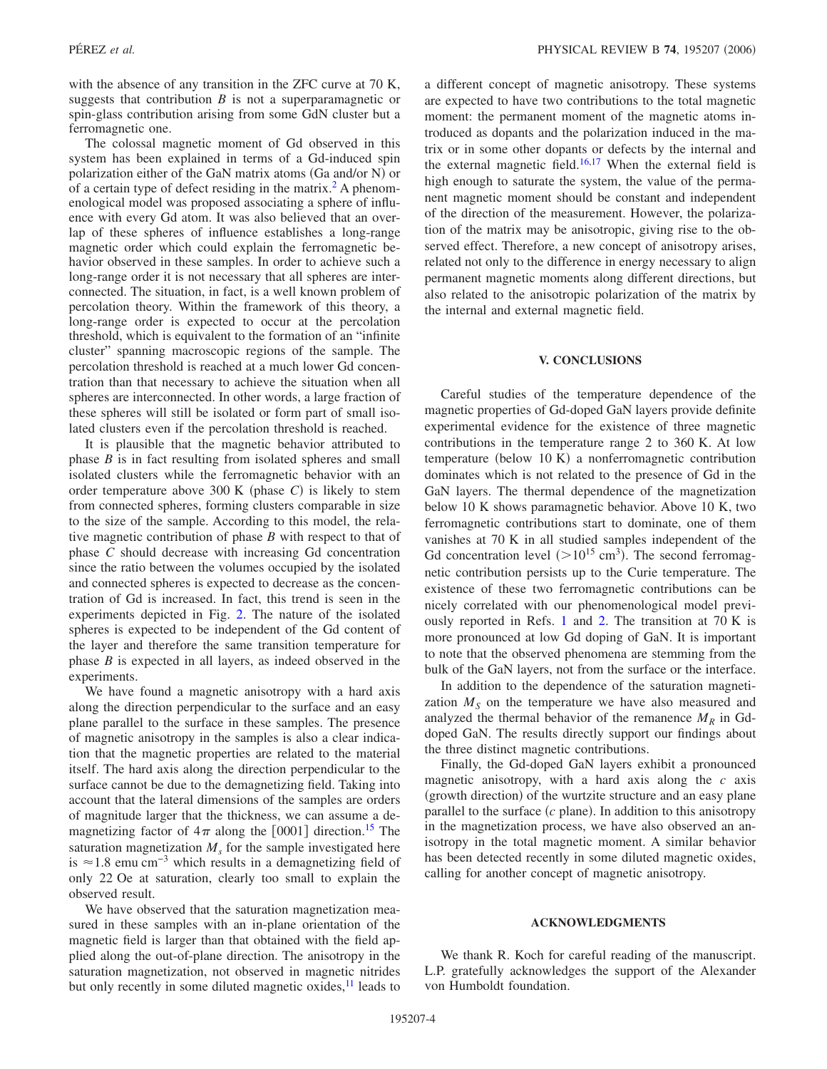with the absence of any transition in the ZFC curve at 70 K, suggests that contribution *B* is not a superparamagnetic or spin-glass contribution arising from some GdN cluster but a ferromagnetic one.

The colossal magnetic moment of Gd observed in this system has been explained in terms of a Gd-induced spin polarization either of the GaN matrix atoms (Ga and/or N) or of a certain type of defect residing in the matrix.<sup>2</sup> A phenomenological model was proposed associating a sphere of influence with every Gd atom. It was also believed that an overlap of these spheres of influence establishes a long-range magnetic order which could explain the ferromagnetic behavior observed in these samples. In order to achieve such a long-range order it is not necessary that all spheres are interconnected. The situation, in fact, is a well known problem of percolation theory. Within the framework of this theory, a long-range order is expected to occur at the percolation threshold, which is equivalent to the formation of an "infinite cluster" spanning macroscopic regions of the sample. The percolation threshold is reached at a much lower Gd concentration than that necessary to achieve the situation when all spheres are interconnected. In other words, a large fraction of these spheres will still be isolated or form part of small isolated clusters even if the percolation threshold is reached.

It is plausible that the magnetic behavior attributed to phase *B* is in fact resulting from isolated spheres and small isolated clusters while the ferromagnetic behavior with an order temperature above  $300 \text{ K}$  (phase C) is likely to stem from connected spheres, forming clusters comparable in size to the size of the sample. According to this model, the relative magnetic contribution of phase *B* with respect to that of phase *C* should decrease with increasing Gd concentration since the ratio between the volumes occupied by the isolated and connected spheres is expected to decrease as the concentration of Gd is increased. In fact, this trend is seen in the experiments depicted in Fig. [2.](#page-1-1) The nature of the isolated spheres is expected to be independent of the Gd content of the layer and therefore the same transition temperature for phase *B* is expected in all layers, as indeed observed in the experiments.

We have found a magnetic anisotropy with a hard axis along the direction perpendicular to the surface and an easy plane parallel to the surface in these samples. The presence of magnetic anisotropy in the samples is also a clear indication that the magnetic properties are related to the material itself. The hard axis along the direction perpendicular to the surface cannot be due to the demagnetizing field. Taking into account that the lateral dimensions of the samples are orders of magnitude larger that the thickness, we can assume a demagnetizing factor of  $4\pi$  along the [0001] direction.<sup>15</sup> The saturation magnetization  $M<sub>s</sub>$  for the sample investigated here is  $\approx$  1.8 emu cm<sup>-3</sup> which results in a demagnetizing field of only 22 Oe at saturation, clearly too small to explain the observed result.

We have observed that the saturation magnetization measured in these samples with an in-plane orientation of the magnetic field is larger than that obtained with the field applied along the out-of-plane direction. The anisotropy in the saturation magnetization, not observed in magnetic nitrides but only recently in some diluted magnetic oxides,  $\frac{11}{11}$  leads to a different concept of magnetic anisotropy. These systems are expected to have two contributions to the total magnetic moment: the permanent moment of the magnetic atoms introduced as dopants and the polarization induced in the matrix or in some other dopants or defects by the internal and the external magnetic field.<sup>16[,17](#page-4-14)</sup> When the external field is high enough to saturate the system, the value of the permanent magnetic moment should be constant and independent of the direction of the measurement. However, the polarization of the matrix may be anisotropic, giving rise to the observed effect. Therefore, a new concept of anisotropy arises, related not only to the difference in energy necessary to align permanent magnetic moments along different directions, but also related to the anisotropic polarization of the matrix by the internal and external magnetic field.

#### **V. CONCLUSIONS**

Careful studies of the temperature dependence of the magnetic properties of Gd-doped GaN layers provide definite experimental evidence for the existence of three magnetic contributions in the temperature range 2 to 360 K. At low temperature (below 10 K) a nonferromagnetic contribution dominates which is not related to the presence of Gd in the GaN layers. The thermal dependence of the magnetization below 10 K shows paramagnetic behavior. Above 10 K, two ferromagnetic contributions start to dominate, one of them vanishes at 70 K in all studied samples independent of the Gd concentration level  $(>10^{15} \text{ cm}^3)$ . The second ferromagnetic contribution persists up to the Curie temperature. The existence of these two ferromagnetic contributions can be nicely correlated with our phenomenological model previously reported in Refs. [1](#page-4-1) and [2.](#page-4-2) The transition at 70 K is more pronounced at low Gd doping of GaN. It is important to note that the observed phenomena are stemming from the bulk of the GaN layers, not from the surface or the interface.

In addition to the dependence of the saturation magnetization  $M<sub>S</sub>$  on the temperature we have also measured and analyzed the thermal behavior of the remanence  $M_R$  in Gddoped GaN. The results directly support our findings about the three distinct magnetic contributions.

Finally, the Gd-doped GaN layers exhibit a pronounced magnetic anisotropy, with a hard axis along the *c* axis (growth direction) of the wurtzite structure and an easy plane parallel to the surface  $(c$  plane). In addition to this anisotropy in the magnetization process, we have also observed an anisotropy in the total magnetic moment. A similar behavior has been detected recently in some diluted magnetic oxides, calling for another concept of magnetic anisotropy.

#### **ACKNOWLEDGMENTS**

We thank R. Koch for careful reading of the manuscript. L.P. gratefully acknowledges the support of the Alexander von Humboldt foundation.